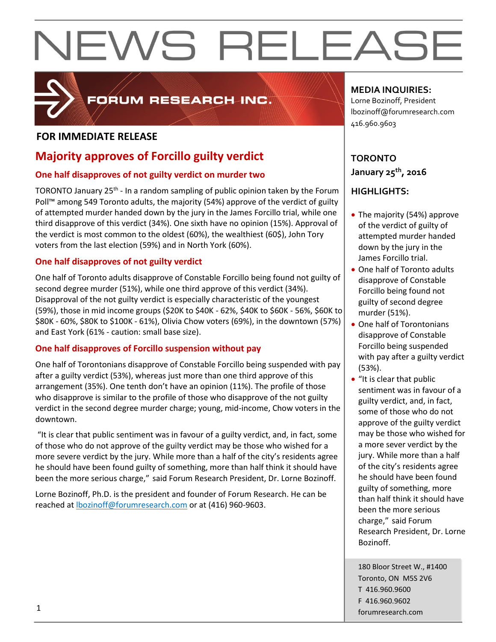# NEWS RELEASE



### FORUM RESEARCH INC.

### **FOR IMMEDIATE RELEASE**

### **Majority approves of Forcillo guilty verdict**

### **One half disapproves of not guilty verdict on murder two**

TORONTO January 25<sup>th</sup> - In a random sampling of public opinion taken by the Forum Poll™ among 549 Toronto adults, the majority (54%) approve of the verdict of guilty of attempted murder handed down by the jury in the James Forcillo trial, while one third disapprove of this verdict (34%). One sixth have no opinion (15%). Approval of the verdict is most common to the oldest (60%), the wealthiest (60\$), John Tory voters from the last election (59%) and in North York (60%).

### **One half disapproves of not guilty verdict**

One half of Toronto adults disapprove of Constable Forcillo being found not guilty of second degree murder (51%), while one third approve of this verdict (34%). Disapproval of the not guilty verdict is especially characteristic of the youngest (59%), those in mid income groups (\$20K to \$40K - 62%, \$40K to \$60K - 56%, \$60K to \$80K - 60%, \$80K to \$100K - 61%), Olivia Chow voters (69%), in the downtown (57%) and East York (61% - caution: small base size).

### **One half disapproves of Forcillo suspension without pay**

One half of Torontonians disapprove of Constable Forcillo being suspended with pay after a guilty verdict (53%), whereas just more than one third approve of this arrangement (35%). One tenth don't have an opinion (11%). The profile of those who disapprove is similar to the profile of those who disapprove of the not guilty verdict in the second degree murder charge; young, mid-income, Chow voters in the downtown.

"It is clear that public sentiment was in favour of a guilty verdict, and, in fact, some of those who do not approve of the guilty verdict may be those who wished for a more severe verdict by the jury. While more than a half of the city's residents agree he should have been found guilty of something, more than half think it should have been the more serious charge," said Forum Research President, Dr. Lorne Bozinoff.

Lorne Bozinoff, Ph.D. is the president and founder of Forum Research. He can be reached at [lbozinoff@forumresearch.com](mailto:lbozinoff@forumresearch.com) or at (416) 960-9603.

### **MEDIA INQUIRIES:**

Lorne Bozinoff, President lbozinoff@forumresearch.com 416.960.9603

### **TORONTO January 25th, 2016**

### **HIGHLIGHTS:**

- The majority (54%) approve of the verdict of guilty of attempted murder handed down by the jury in the James Forcillo trial.
- One half of Toronto adults disapprove of Constable Forcillo being found not guilty of second degree murder (51%).
- One half of Torontonians disapprove of Constable Forcillo being suspended with pay after a guilty verdict (53%).
- "It is clear that public sentiment was in favour of a guilty verdict, and, in fact, some of those who do not approve of the guilty verdict may be those who wished for a more sever verdict by the jury. While more than a half of the city's residents agree he should have been found guilty of something, more than half think it should have been the more serious charge," said Forum Research President, Dr. Lorne Bozinoff.

180 Bloor Street W., #1400 Toronto, ON M5S 2V6 T 416.960.9600 F 416.960.9602 forumresearch.com 1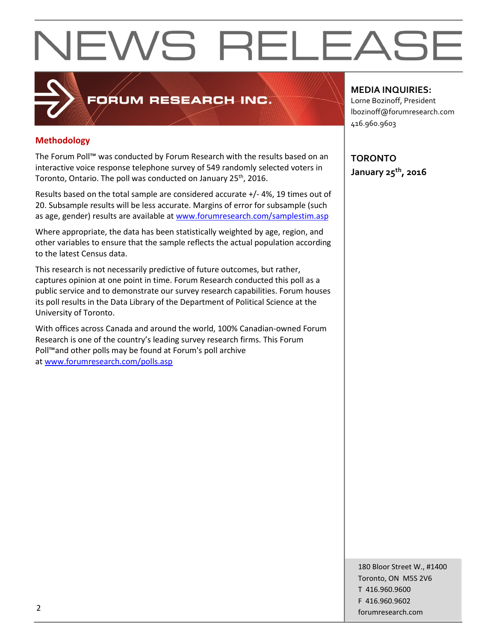## **NEWS RELEASE**

### **Methodology**

The Forum Poll™ was conducted by Forum Research with the results based on an interactive voice response telephone survey of 549 randomly selected voters in Toronto, Ontario. The poll was conducted on January 25<sup>th</sup>, 2016.

FORUM RESEARCH INC.

Results based on the total sample are considered accurate +/- 4%, 19 times out of 20. Subsample results will be less accurate. Margins of error for subsample (such as age, gender) results are available at [www.forumresearch.com/samplestim.asp](http://www.forumresearch.com/samplestim.asp)

Where appropriate, the data has been statistically weighted by age, region, and other variables to ensure that the sample reflects the actual population according to the latest Census data.

This research is not necessarily predictive of future outcomes, but rather, captures opinion at one point in time. Forum Research conducted this poll as a public service and to demonstrate our survey research capabilities. Forum houses its poll results in the Data Library of the Department of Political Science at the University of Toronto.

With offices across Canada and around the world, 100% Canadian-owned Forum Research is one of the country's leading survey research firms. This Forum Poll™and other polls may be found at Forum's poll archive at [www.forumresearch.com/polls.asp](http://www.forumresearch.com/polls.asp)

**MEDIA INQUIRIES:**

Lorne Bozinoff, President lbozinoff@forumresearch.com 416.960.9603

**TORONTO January 25th, 2016**

180 Bloor Street W., #1400 Toronto, ON M5S 2V6 T 416.960.9600 F 416.960.9602 example to the contract of the contract of the contract of the contract of the contract of the contract of the contract of the contract of the contract of the contract of the contract of the contract of the contract of the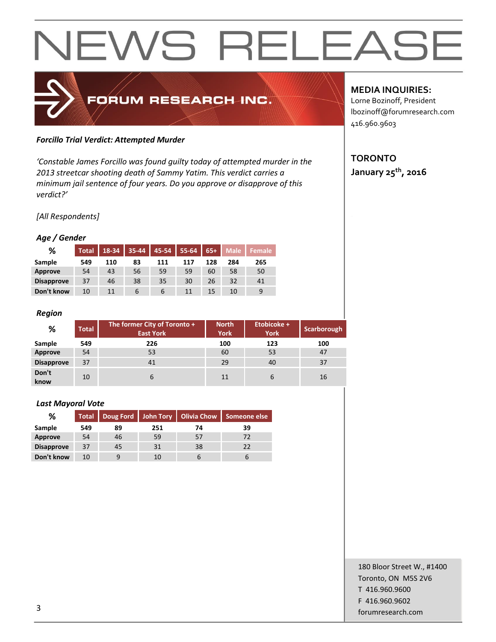## NEWS RELEAS



### *Forcillo Trial Verdict: Attempted Murder*

*'Constable James Forcillo was found guilty today of attempted murder in the 2013 streetcar shooting death of Sammy Yatim. This verdict carries a minimum jail sentence of four years. Do you approve or disapprove of this verdict?'*

### *[All Respondents]*

### *Age / Gender*

| %                 | <b>Total</b> | 18-34 | $35 - 44$ | 45-54 | 55-64 | $65+$ | <b>Male</b> | <b>Female</b> |
|-------------------|--------------|-------|-----------|-------|-------|-------|-------------|---------------|
| Sample            | 549          | 110   | 83        | 111   | 117   | 128   | 284         | 265           |
| Approve           | 54           | 43    | 56        | 59    | 59    | 60    | 58          | 50            |
| <b>Disapprove</b> | 37           | 46    | 38        | 35    | 30    | 26    | 32          | 41            |
| Don't know        | 10           | 11    | 6         | 6     | 11    | 15    | 10          | 9             |

### *Region*

| %                 | <b>Total</b> | The former City of Toronto +<br><b>East York</b> | <b>North</b><br><b>York</b> | Etobicoke +<br><b>York</b> | Scarborough |
|-------------------|--------------|--------------------------------------------------|-----------------------------|----------------------------|-------------|
| Sample            | 549          | 226                                              | 100                         | 123                        | 100         |
| Approve           | 54           | 53                                               | 60                          | 53                         | 47          |
| <b>Disapprove</b> | 37           | 41                                               | 29                          | 40                         | 37          |
| Don't<br>know     | 10           | 6                                                | 11                          | 6                          | 16          |

#### *Last Mayoral Vote*

| %                 |     |    |     |    | Total   Doug Ford   John Tory   Olivia Chow   Someone else |
|-------------------|-----|----|-----|----|------------------------------------------------------------|
| Sample            | 549 | 89 | 251 | 74 | 39                                                         |
| Approve           | 54  | 46 | 59  | 57 | 72                                                         |
| <b>Disapprove</b> | 37  | 45 | 31  | 38 | 22                                                         |
| Don't know        | 10  | 9  | 10  |    |                                                            |

### **MEDIA INQUIRIES:**

Lorne Bozinoff, President lbozinoff@forumresearch.com 416.960.9603

### **TORONTO January 25th, 2016**

180 Bloor Street W., #1400 Toronto, ON M5S 2V6 T 416.960.9600 F 416.960.9602 forumresearch.com and the set of the set of the set of the set of the set of the set of the set of the set of the set of the set of the set of the set of the set of the set of the set of the set of the set of the set of th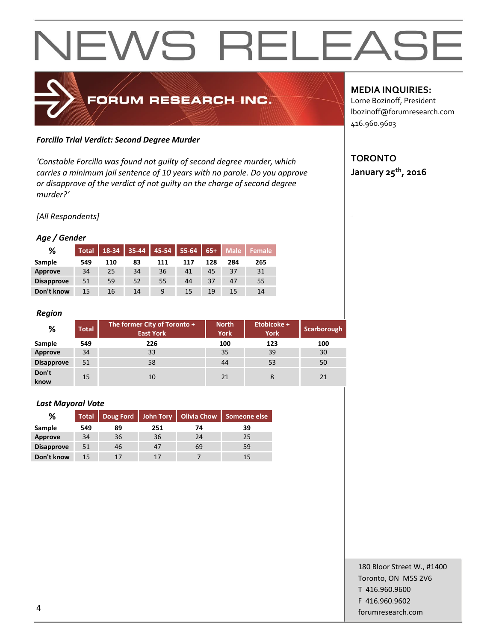## NEWS RELEAS

### FORUM RESEARCH INC.

### *Forcillo Trial Verdict: Second Degree Murder*

*'Constable Forcillo was found not guilty of second degree murder, which carries a minimum jail sentence of 10 years with no parole. Do you approve or disapprove of the verdict of not guilty on the charge of second degree murder?'*

*[All Respondents]*

### *Age / Gender*

| %                 | <b>Total</b> | 18-34 | 35-44 | 45-54 | 55-64 | $65+$ | <b>Male</b> | <b>Female</b> |
|-------------------|--------------|-------|-------|-------|-------|-------|-------------|---------------|
| Sample            | 549          | 110   | 83    | 111   | 117   | 128   | 284         | 265           |
| Approve           | 34           | 25    | 34    | 36    | 41    | 45    | 37          | 31            |
| <b>Disapprove</b> | 51           | 59    | 52    | 55    | 44    | 37    | 47          | 55            |
| Don't know        | 15           | 16    | 14    | 9     | 15    | 19    | 15          | 14            |

### *Region*

| %                 | <b>Total</b> | The former City of Toronto +<br><b>East York</b> | <b>North</b><br><b>York</b> | Etobicoke +<br><b>York</b> | Scarborough |
|-------------------|--------------|--------------------------------------------------|-----------------------------|----------------------------|-------------|
| Sample            | 549          | 226                                              | 100                         | 123                        | 100         |
| Approve           | 34           | 33                                               | 35                          | 39                         | 30          |
| <b>Disapprove</b> | 51           | 58                                               | 44                          | 53                         | 50          |
| Don't<br>know     | 15           | 10                                               | 21                          |                            | 21          |

#### *Last Mayoral Vote*

| %                 |     |    |     | Total   Doug Ford   John Tory   Olivia Chow | Someone else |
|-------------------|-----|----|-----|---------------------------------------------|--------------|
| Sample            | 549 | 89 | 251 | 74                                          | 39           |
| Approve           | 34  | 36 | 36  | 24                                          | 25           |
| <b>Disapprove</b> | 51  | 46 | 47  | 69                                          | 59           |
| Don't know        | 15  | 17 | 17  |                                             | 15           |

### **MEDIA INQUIRIES:**

Lorne Bozinoff, President lbozinoff@forumresearch.com 416.960.9603

### **TORONTO**

**January 25th, 2016**

180 Bloor Street W., #1400 Toronto, ON M5S 2V6 T 416.960.9600 F 416.960.9602 example to the contract of the contract of the contract of the contract of the contract of the contract of the contract of the contract of the contract of the contract of the contract of the contract of the contract of the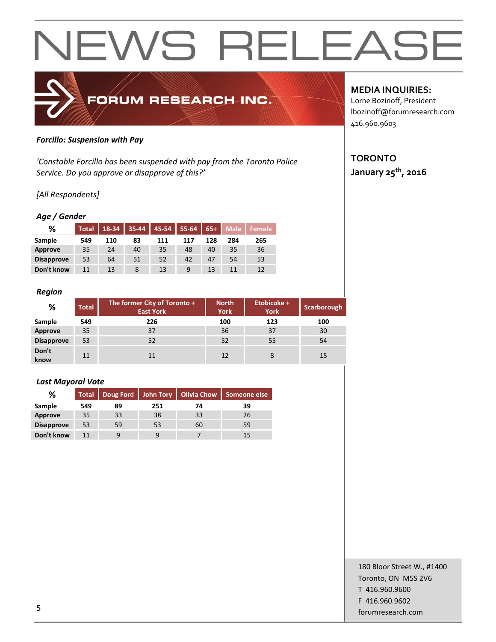## NEWS RELEAS



#### *Forcillo: Suspension with Pay*

*'Constable Forcillo has been suspended with pay from the Toronto Police Service. Do you approve or disapprove of this?'*

### *[All Respondents]*

#### *Age / Gender*

| ℅                 | <b>Total</b> | 18-34 | $35 - 44$ | $45-54$ | $55-64$ | $65+$ | <b>Male</b> | <b>Female</b> |
|-------------------|--------------|-------|-----------|---------|---------|-------|-------------|---------------|
| Sample            | 549          | 110   | 83        | 111     | 117     | 128   | 284         | 265           |
| Approve           | 35           | 24    | 40        | 35      | 48      | 40    | 35          | 36            |
| <b>Disapprove</b> | 53           | 64    | 51        | 52      | 42      | 47    | 54          | 53            |
| Don't know        | 11           | 13    |           | 13      | 9       | 13    |             | 12            |

#### *Region*

| %                 | <b>Total</b> | The former City of Toronto +<br><b>East York</b> | <b>North</b><br><b>York</b> | Etobicoke +<br><b>York</b> | Scarborough |
|-------------------|--------------|--------------------------------------------------|-----------------------------|----------------------------|-------------|
| Sample            | 549          | 226                                              | 100                         | 123                        | 100         |
| Approve           | 35           | 37                                               | 36                          | 37                         | 30          |
| <b>Disapprove</b> | 53           | 52                                               | 52                          | 55                         | 54          |
| Don't<br>know     | 11           | 11                                               | 12                          |                            | 15          |

#### *Last Mayoral Vote*

| %                 |     |    |     | Total   Doug Ford   John Tory   Olivia Chow | Someone else |
|-------------------|-----|----|-----|---------------------------------------------|--------------|
| Sample            | 549 | 89 | 251 | 74                                          | 39           |
| Approve           | 35  | 33 | 38  | 33                                          | 26           |
| <b>Disapprove</b> | 53  | 59 | 53  | 60                                          | 59           |
| Don't know        | 11  | 9  | 9   |                                             | 15           |

### **MEDIA INQUIRIES:**

Lorne Bozinoff, President lbozinoff@forumresearch.com 416.960.9603

### **TORONTO**

**January 25th, 2016**

180 Bloor Street W., #1400 Toronto, ON M5S 2V6 T 416.960.9600 F 416.960.9602 forumresearch.com 5